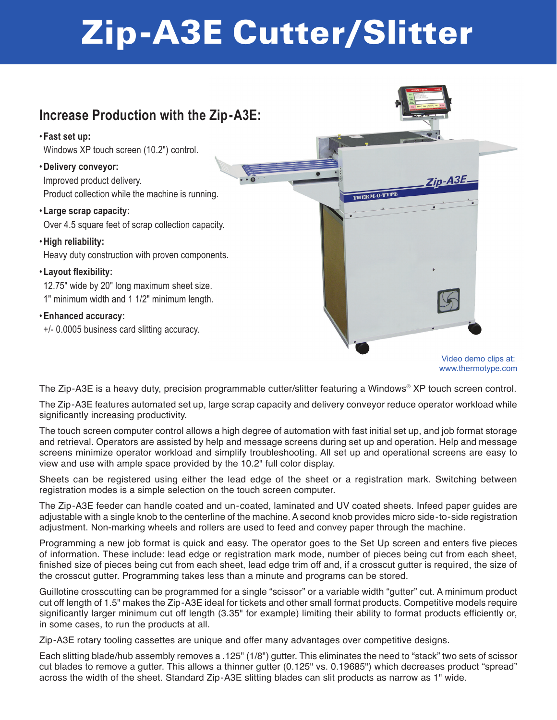## Zip-A3E Cutter/Slitter



www.thermotype.com

The Zip-A3E is a heavy duty, precision programmable cutter/slitter featuring a Windows® XP touch screen control.

The Zip-A3E features automated set up, large scrap capacity and delivery conveyor reduce operator workload while significantly increasing productivity.

The touch screen computer control allows a high degree of automation with fast initial set up, and job format storage and retrieval. Operators are assisted by help and message screens during set up and operation. Help and message screens minimize operator workload and simplify troubleshooting. All set up and operational screens are easy to view and use with ample space provided by the 10.2" full color display.

Sheets can be registered using either the lead edge of the sheet or a registration mark. Switching between registration modes is a simple selection on the touch screen computer.

The Zip-A3E feeder can handle coated and un-coated, laminated and UV coated sheets. Infeed paper guides are adjustable with a single knob to the centerline of the machine. A second knob provides micro side-to-side registration adjustment. Non-marking wheels and rollers are used to feed and convey paper through the machine.

Programming a new job format is quick and easy. The operator goes to the Set Up screen and enters five pieces of information. These include: lead edge or registration mark mode, number of pieces being cut from each sheet, finished size of pieces being cut from each sheet, lead edge trim off and, if a crosscut gutter is required, the size of the crosscut gutter. Programming takes less than a minute and programs can be stored.

Guillotine crosscutting can be programmed for a single "scissor" or a variable width "gutter" cut. A minimum product cut off length of 1.5" makes the Zip-A3E ideal for tickets and other small format products. Competitive models require significantly larger minimum cut off length (3.35" for example) limiting their ability to format products efficiently or, in some cases, to run the products at all.

Zip-A3E rotary tooling cassettes are unique and offer many advantages over competitive designs.

Each slitting blade/hub assembly removes a .125" (1/8") gutter. This eliminates the need to "stack" two sets of scissor cut blades to remove a gutter. This allows a thinner gutter (0.125" vs. 0.19685") which decreases product "spread" across the width of the sheet. Standard Zip-A3E slitting blades can slit products as narrow as 1" wide.